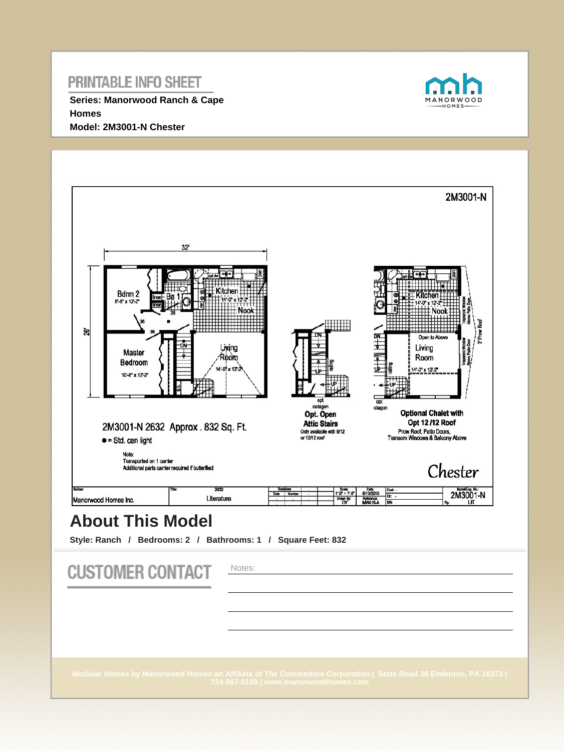**Series: Manorwood Ranch & Cape Homes Model: 2M3001-N Chester**





# **About This Model**

**Style: Ranch / Bedrooms: 2 / Bathrooms: 1 / Square Feet: 832**

| <b>CUSTOMER CONTACT</b> | Notes:                                                                                                                                                   |
|-------------------------|----------------------------------------------------------------------------------------------------------------------------------------------------------|
|                         | Modular Homes by Manorwood Homes an Affiliate of The Commodore Corporation   State Road 38 Emlenton, PA 16373  <br>724-867-0189   www.manorwoodhomes.com |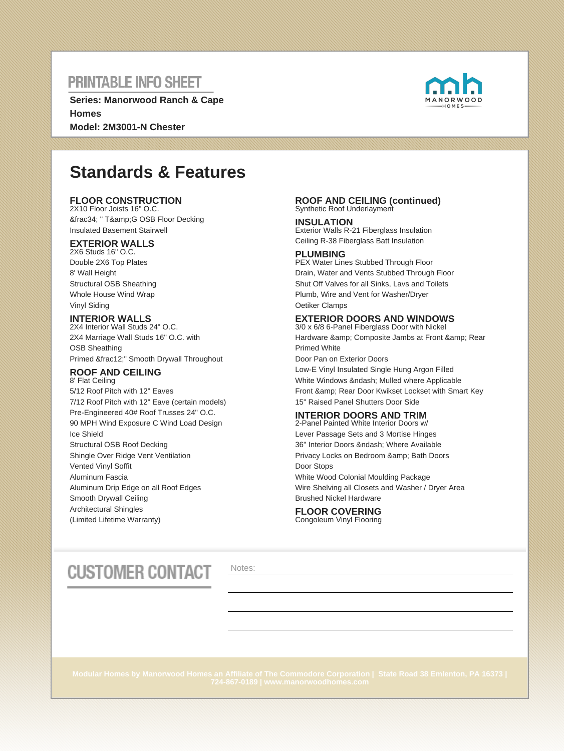**Series: Manorwood Ranch & Cape Homes Model: 2M3001-N Chester**



# **Standards & Features**

### **FLOOR CONSTRUCTION**

2X10 Floor Joists 16" O.C. ¾ " T&G OSB Floor Decking Insulated Basement Stairwell

### **EXTERIOR WALLS**

2X6 Studs 16" O.C. Double 2X6 Top Plates 8' Wall Height Structural OSB Sheathing Whole House Wind Wrap Vinyl Siding

### **INTERIOR WALLS**

2X4 Interior Wall Studs 24" O.C. 2X4 Marriage Wall Studs 16" O.C. with OSB Sheathing Primed ½" Smooth Drywall Throughout

#### **ROOF AND CEILING** 8' Flat Ceiling

5/12 Roof Pitch with 12" Eaves 7/12 Roof Pitch with 12" Eave (certain models) Pre-Engineered 40# Roof Trusses 24" O.C. 90 MPH Wind Exposure C Wind Load Design Ice Shield Structural OSB Roof Decking Shingle Over Ridge Vent Ventilation Vented Vinyl Soffit Aluminum Fascia Aluminum Drip Edge on all Roof Edges Smooth Drywall Ceiling Architectural Shingles (Limited Lifetime Warranty)

#### **ROOF AND CEILING (continued)** Synthetic Roof Underlayment

**INSULATION** Exterior Walls R-21 Fiberglass Insulation Ceiling R-38 Fiberglass Batt Insulation

#### **PLUMBING**

PEX Water Lines Stubbed Through Floor Drain, Water and Vents Stubbed Through Floor Shut Off Valves for all Sinks, Lavs and Toilets Plumb, Wire and Vent for Washer/Dryer Oetiker Clamps

### **EXTERIOR DOORS AND WINDOWS**

3/0 x 6/8 6-Panel Fiberglass Door with Nickel Hardware & amp; Composite Jambs at Front & amp; Rear Primed White Door Pan on Exterior Doors Low-E Vinyl Insulated Single Hung Argon Filled White Windows & ndash; Mulled where Applicable Front & amp: Rear Door Kwikset Lockset with Smart Key

15" Raised Panel Shutters Door Side

### **INTERIOR DOORS AND TRIM**

2-Panel Painted White Interior Doors w/ Lever Passage Sets and 3 Mortise Hinges 36" Interior Doors – Where Available Privacy Locks on Bedroom & amp; Bath Doors Door Stops White Wood Colonial Moulding Package Wire Shelving all Closets and Washer / Dryer Area Brushed Nickel Hardware

#### **FLOOR COVERING** Congoleum Vinyl Flooring

# **CUSTOMER CONTACT**

Notes: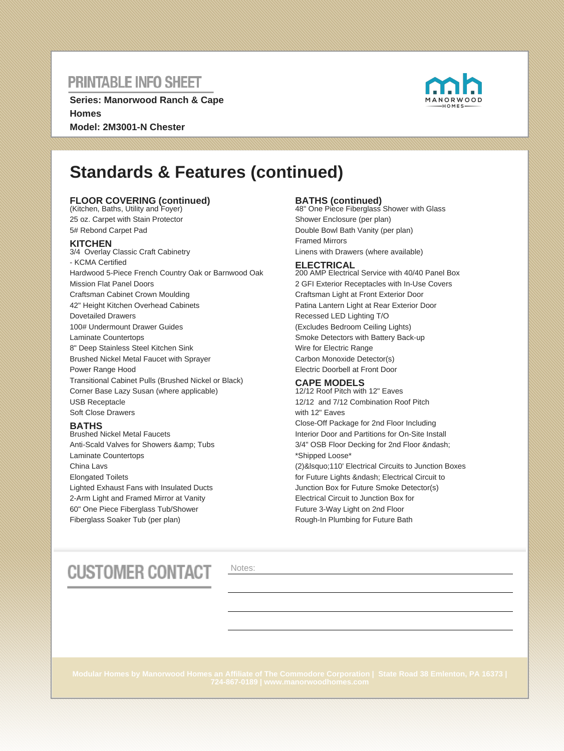**Series: Manorwood Ranch & Cape Homes Model: 2M3001-N Chester**



# **Standards & Features (continued)**

### **FLOOR COVERING (continued)** (Kitchen, Baths, Utility and Foyer)

25 oz. Carpet with Stain Protector 5# Rebond Carpet Pad

### **KITCHEN**

3/4 Overlay Classic Craft Cabinetry - KCMA Certified Hardwood 5-Piece French Country Oak or Barnwood Oak Mission Flat Panel Doors Craftsman Cabinet Crown Moulding 42" Height Kitchen Overhead Cabinets Dovetailed Drawers 100# Undermount Drawer Guides Laminate Countertops 8" Deep Stainless Steel Kitchen Sink Brushed Nickel Metal Faucet with Sprayer Power Range Hood Transitional Cabinet Pulls (Brushed Nickel or Black) Corner Base Lazy Susan (where applicable) USB Receptacle Soft Close Drawers

### **BATHS**

Brushed Nickel Metal Faucets Anti-Scald Valves for Showers & amp; Tubs Laminate Countertops China Lavs Elongated Toilets Lighted Exhaust Fans with Insulated Ducts 2-Arm Light and Framed Mirror at Vanity 60" One Piece Fiberglass Tub/Shower Fiberglass Soaker Tub (per plan)

**BATHS (continued)** 48" One Piece Fiberglass Shower with Glass Shower Enclosure (per plan) Double Bowl Bath Vanity (per plan) Framed Mirrors Linens with Drawers (where available)

#### **ELECTRICAL**

200 AMP Electrical Service with 40/40 Panel Box 2 GFI Exterior Receptacles with In-Use Covers Craftsman Light at Front Exterior Door Patina Lantern Light at Rear Exterior Door Recessed LED Lighting T/O (Excludes Bedroom Ceiling Lights) Smoke Detectors with Battery Back-up Wire for Electric Range Carbon Monoxide Detector(s) Electric Doorbell at Front Door

### **CAPE MODELS**

12/12 Roof Pitch with 12" Eaves 12/12 and 7/12 Combination Roof Pitch with 12" Eaves Close-Off Package for 2nd Floor Including Interior Door and Partitions for On-Site Install 3/4" OSB Floor Decking for 2nd Floor – \*Shipped Loose\* (2)&Isquo;110' Electrical Circuits to Junction Boxes for Future Lights – Electrical Circuit to Junction Box for Future Smoke Detector(s) Electrical Circuit to Junction Box for Future 3-Way Light on 2nd Floor Rough-In Plumbing for Future Bath

# **CUSTOMER CONTACT**

Notes: